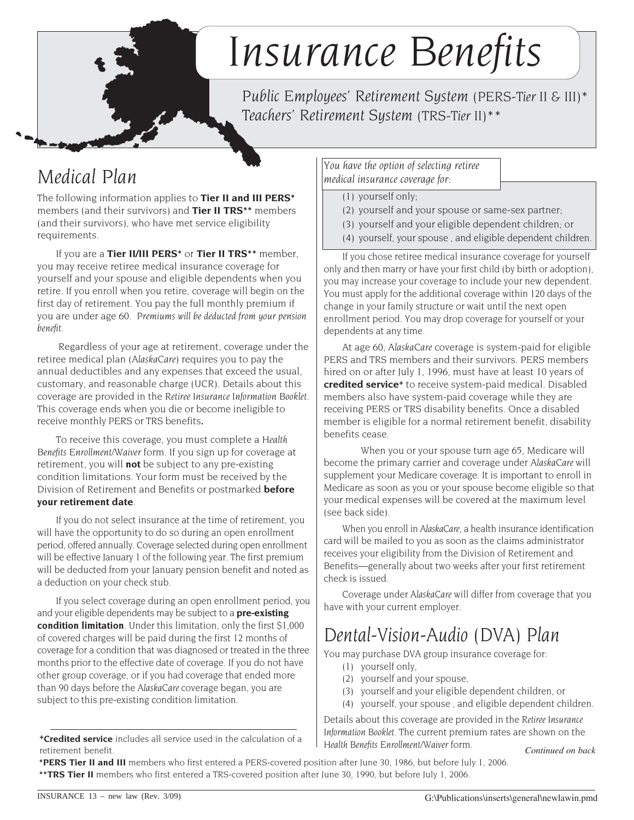# *Insurance Benefits*

*Public Employees' Retirement System (PERS-Tier II & III)\* Teachers' Retirement System (TRS-Tier II)\*\**

## *Medical Plan*

The following information applies to **Tier II and III PERS\*** members (and their survivors) and **Tier II TRS\*\*** members (and their survivors), who have met service eligibility requirements.

If you are a **Tier II/III PERS\*** or **Tier II TRS\*\*** member, you may receive retiree medical insurance coverage for yourself and your spouse and eligible dependents when you retire. If you enroll when you retire, coverage will begin on the first day of retirement. You pay the full monthly premium if you are under age 60. *Premiums will be deducted from your pension benefit.*

Regardless of your age at retirement, coverage under the retiree medical plan (*AlaskaCare*) requires you to pay the annual deductibles and any expenses that exceed the usual, customary, and reasonable charge (UCR). Details about this coverage are provided in the *Retiree Insurance Information Booklet*. This coverage ends when you die or become ineligible to receive monthly PERS or TRS benefits*.*

To receive this coverage, you must complete a *Health Benefits Enrollment/Waiver* form. If you sign up for coverage at retirement, you will **not** be subject to any pre-existing condition limitations. Your form must be received by the Division of Retirement and Benefits or postmarked **before your retirement date**.

If you do not select insurance at the time of retirement, you will have the opportunity to do so during an open enrollment period, offered annually. Coverage selected during open enrollment will be effective January 1 of the following year. The first premium will be deducted from your January pension benefit and noted as a deduction on your check stub.

If you select coverage during an open enrollment period, you and your eligible dependents may be subject to a **pre-existing condition limitation**. Under this limitation, only the first \$1,000 of covered charges will be paid during the first 12 months of coverage for a condition that was diagnosed or treated in the three months prior to the effective date of coverage. If you do not have other group coverage, or if you had coverage that ended more than 90 days before the *AlaskaCare* coverage began, you are subject to this pre-existing condition limitation.

*You have the option of selecting retiree medical insurance coverage for:*

(1) yourself only;

- (2) yourself and your spouse or same-sex partner;
- (3) yourself and your eligible dependent children; or
- (4) yourself, your spouse , and eligible dependent children.

If you chose retiree medical insurance coverage for yourself only and then marry or have your first child (by birth or adoption), you may increase your coverage to include your new dependent. You must apply for the additional coverage within 120 days of the change in your family structure or wait until the next open enrollment period. You may drop coverage for yourself or your dependents at any time.

At age 60, *AlaskaCare* coverage is system-paid for eligible PERS and TRS members and their survivors. PERS members hired on or after July 1, 1996, must have at least 10 years of **credited service+** to receive system-paid medical. Disabled members also have system-paid coverage while they are receiving PERS or TRS disability benefits. Once a disabled member is eligible for a normal retirement benefit, disability benefits cease.

When you or your spouse turn age 65, Medicare will become the primary carrier and coverage under *AlaskaCare* will supplement your Medicare coverage. It is important to enroll in Medicare as soon as you or your spouse become eligible so that your medical expenses will be covered at the maximum level (see back side).

When you enroll in *AlaskaCare*, a health insurance identification card will be mailed to you as soon as the claims administrator receives your eligibility from the Division of Retirement and Benefits—generally about two weeks after your first retirement check is issued.

Coverage under *AlaskaCare* will differ from coverage that you have with your current employer.

# *Dental-Vision-Audio (DVA) Plan*

You may purchase DVA group insurance coverage for:

- (1) yourself only,
- (2) yourself and your spouse,
- (3) yourself and your eligible dependent children, or
- (4) yourself, your spouse , and eligible dependent children.

*Continued on back* Details about this coverage are provided in the *Retiree Insurance Information Booklet*. The current premium rates are shown on the *Health Benefits Enrollment/Waiver* form.

**\*PERS Tier II and III** members who first entered a PERS-covered position after June 30, 1986, but before July 1, 2006. **\*\*TRS Tier II** members who first entered a TRS-covered position after June 30, 1990, but before July 1, 2006.

**<sup>+</sup>Credited service** includes all service used in the calculation of a retirement benefit.